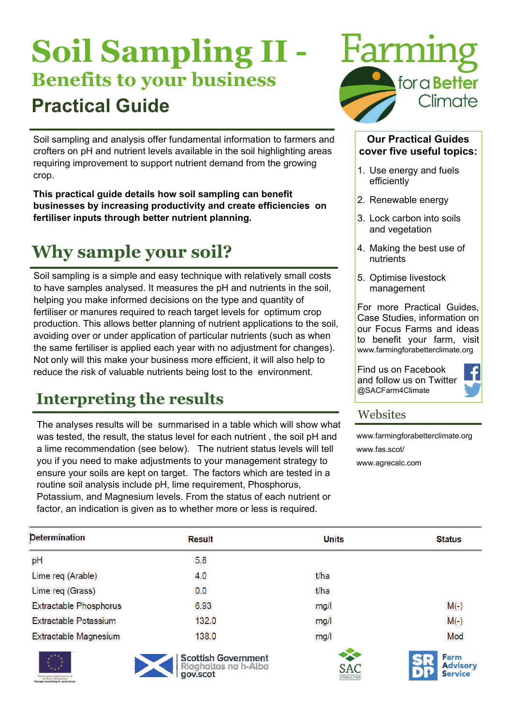# **Soil Sampling II - Benefits to your business Practical Guide**

Soil sampling and analysis offer fundamental information to farmers and crofters on pH and nutrient levels available in the soil highlighting areas requiring improvement to support nutrient demand from the growing crop.

**This practical guide details how soil sampling can benefit businesses by increasing productivity and create efficiencies on fertiliser inputs through better nutrient planning.** 

## **Why sample your soil?**

Soil sampling is a simple and easy technique with relatively small costs to have samples analysed. It measures the pH and nutrients in the soil, helping you make informed decisions on the type and quantity of fertiliser or manures required to reach target levels for optimum crop production. This allows better planning of nutrient applications to the soil, avoiding over or under application of particular nutrients (such as when the same fertiliser is applied each year with no adjustment for changes). Not only will this make your business more efficient, it will also help to reduce the risk of valuable nutrients being lost to the environment.

### **Interpreting the results**

The analyses results will be summarised in a table which will show what was tested, the result, the status level for each nutrient , the soil pH and a lime recommendation (see below). The nutrient status levels will tell you if you need to make adjustments to your management strategy to ensure your soils are kept on target. The factors which are tested in a routine soil analysis include pH, lime requirement, Phosphorus, Potassium, and Magnesium levels. From the status of each nutrient or factor, an indication is given as to whether more or less is required.



#### **Our Practical Guides cover five useful topics:**

- 1. Use energy and fuels efficiently
- 2. Renewable energy
- 3. Lock carbon into soils and vegetation
- 4. Making the best use of nutrients
- 5. Optimise livestock management

For more Practical Guides, Case Studies, information on our Focus Farms and ideas to benefit your farm, visit www.farmingforabetterclimate.org

Find us on Facebook and follow us on Twitter @SACFarm4Climate



#### **Websites**

[www.farmingforabetterclimate.org](http://www.farmingforabetterclimate.org)  www.fas.scot/ [www.agrecalc.com](http://www.agrecalc.com) 

| <b>Determination</b>              | <b>Result</b> | <b>Units</b> | <b>Status</b>   |
|-----------------------------------|---------------|--------------|-----------------|
| pH                                | 5.8           |              |                 |
| Lime req (Arable)                 | 4.0           | t/ha         |                 |
| Lime req (Grass)                  | 0.0           | t/ha         |                 |
| <b>Extractable Phosphorus</b>     | 6.93          | mg/l         | $M(-)$          |
| <b>Extractable Potassium</b>      | 132.0         | mg/l         | $M(-)$          |
| <b>Extractable Magnesium</b>      | 138.0         | mg/l         | Mod             |
| the company's company's company's |               |              | <b>Contract</b> |